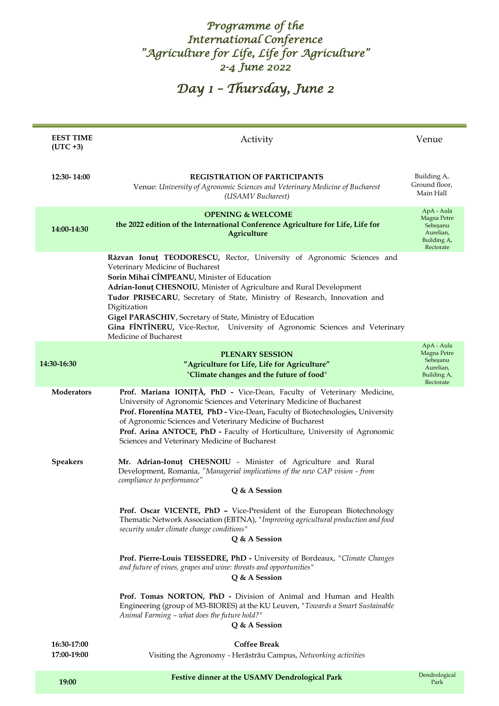### *Programme of the International Conference "Agriculture for Life, Life for Agriculture" 2-4 June 2022*

*Day 1 – Thursday, June 2* 

| <b>EEST TIME</b><br>$(UTC + 3)$ | Activity                                                                                                                                                                                                                                                                                                                                                                                                                                                                                             | Venue                                                                          |
|---------------------------------|------------------------------------------------------------------------------------------------------------------------------------------------------------------------------------------------------------------------------------------------------------------------------------------------------------------------------------------------------------------------------------------------------------------------------------------------------------------------------------------------------|--------------------------------------------------------------------------------|
| 12:30-14:00                     | <b>REGISTRATION OF PARTICIPANTS</b><br>Venue: University of Agronomic Sciences and Veterinary Medicine of Bucharest<br>(USAMV Bucharest)                                                                                                                                                                                                                                                                                                                                                             | Building A,<br>Ground floor,<br>Main Hall                                      |
| 14:00-14:30                     | <b>OPENING &amp; WELCOME</b><br>the 2022 edition of the International Conference Agriculture for Life, Life for<br>Agriculture                                                                                                                                                                                                                                                                                                                                                                       | ApA - Aula<br>Magna Petre<br>Sebesanu<br>Aurelian,<br>Building A,<br>Rectorate |
|                                 | Răzvan Ionuț TEODORESCU, Rector, University of Agronomic Sciences and<br>Veterinary Medicine of Bucharest<br>Sorin Mihai CÎMPEANU, Minister of Education<br>Adrian-Ionut CHESNOIU, Minister of Agriculture and Rural Development<br>Tudor PRISECARU, Secretary of State, Ministry of Research, Innovation and<br>Digitization<br>Gigel PARASCHIV, Secretary of State, Ministry of Education<br>Gina FÎNTÎNERU, Vice-Rector, University of Agronomic Sciences and Veterinary<br>Medicine of Bucharest |                                                                                |
| 14:30-16:30                     | <b>PLENARY SESSION</b><br>"Agriculture for Life, Life for Agriculture"<br>"Climate changes and the future of food"                                                                                                                                                                                                                                                                                                                                                                                   | ApA - Aula<br>Magna Petre<br>Sebesanu<br>Aurelian,<br>Building A,<br>Rectorate |
| <b>Moderators</b>               | Prof. Mariana IONIȚĂ, PhD - Vice-Dean, Faculty of Veterinary Medicine,<br>University of Agronomic Sciences and Veterinary Medicine of Bucharest<br>Prof. Florentina MATEI, PhD - Vice-Dean, Faculty of Biotechnologies, University<br>of Agronomic Sciences and Veterinary Medicine of Bucharest<br>Prof. Arina ANTOCE, PhD - Faculty of Horticulture, University of Agronomic<br>Sciences and Veterinary Medicine of Bucharest                                                                      |                                                                                |
| <b>Speakers</b>                 | Mr. Adrian-Ionut CHESNOIU - Minister of Agriculture and Rural<br>Development, Romania, "Managerial implications of the new CAP vision - from<br>compliance to performance"<br>Q & A Session                                                                                                                                                                                                                                                                                                          |                                                                                |
|                                 | Prof. Oscar VICENTE, PhD - Vice-President of the European Biotechnology<br>Thematic Network Association (EBTNA), "Improving agricultural production and food<br>security under climate change conditions"<br>Q & A Session                                                                                                                                                                                                                                                                           |                                                                                |
|                                 | Prof. Pierre-Louis TEISSEDRE, PhD - University of Bordeaux, "Climate Changes<br>and future of vines, grapes and wine: threats and opportunities"<br>Q & A Session                                                                                                                                                                                                                                                                                                                                    |                                                                                |
|                                 | Prof. Tomas NORTON, PhD - Division of Animal and Human and Health<br>Engineering (group of M3-BIORES) at the KU Leuven, "Towards a Smart Sustainable<br>Animal Farming - what does the future hold?"<br>Q & A Session                                                                                                                                                                                                                                                                                |                                                                                |
| 16:30-17:00<br>17:00-19:00      | <b>Coffee Break</b><br>Visiting the Agronomy - Herăstrău Campus, Networking activities                                                                                                                                                                                                                                                                                                                                                                                                               |                                                                                |
| 19:00                           | Festive dinner at the USAMV Dendrological Park                                                                                                                                                                                                                                                                                                                                                                                                                                                       | Dendrological<br>Park                                                          |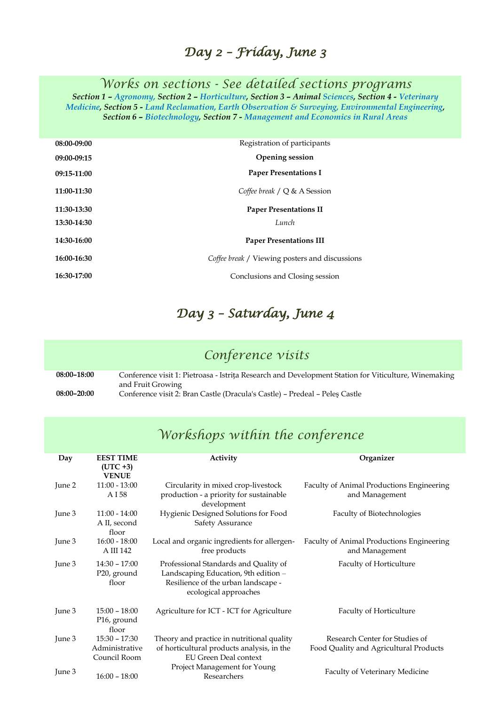### *Day 2 – Friday, June 3*

*Works on sections - See detailed sections programs*

*Section 1 – Agronomy, Section 2 – Horticulture, Section 3 – Animal Sciences, Section 4 - Veterinary Medicine, Section 5 - Land Reclamation, Earth Observation & Surveying, Environmental Engineering, Section 6 – Biotechnology, Section 7 - Management and Economics in Rural Areas*

| 08:00-09:00 | Registration of participants                   |
|-------------|------------------------------------------------|
| 09:00-09:15 | <b>Opening session</b>                         |
| 09:15-11:00 | <b>Paper Presentations I</b>                   |
| 11:00-11:30 | Coffee break $\angle Q$ & A Session            |
| 11:30-13:30 | <b>Paper Presentations II</b>                  |
| 13:30-14:30 | Lunch                                          |
| 14:30-16:00 | <b>Paper Presentations III</b>                 |
| 16:00-16:30 | Coffee break / Viewing posters and discussions |
| 16:30-17:00 | Conclusions and Closing session                |

# *Day 3 – Saturday, June 4*

## *Conference visits*

**08:00–18:00** Conference visit 1: Pietroasa - Istrița Research and Development Station for Viticulture, Winemaking and Fruit Growing

**08:00–20:00** Conference visit 2: Bran Castle (Dracula's Castle) – Predeal – Peleş Castle

### *Workshops within the conference*

| Day    | <b>EEST TIME</b><br>$(UTC + 3)$<br><b>VENUE</b> | Activity                                                                                                                                      | Organizer                                                   |
|--------|-------------------------------------------------|-----------------------------------------------------------------------------------------------------------------------------------------------|-------------------------------------------------------------|
| June 2 | $11:00 - 13:00$<br>A I 58                       | Circularity in mixed crop-livestock<br>production - a priority for sustainable<br>development                                                 | Faculty of Animal Productions Engineering<br>and Management |
| June 3 | $11:00 - 14:00$<br>A II, second<br>floor        | Hygienic Designed Solutions for Food<br>Safety Assurance                                                                                      | Faculty of Biotechnologies                                  |
| June 3 | $16:00 - 18:00$<br>A III 142                    | Local and organic ingredients for allergen-<br>free products                                                                                  | Faculty of Animal Productions Engineering<br>and Management |
| June 3 | $14:30 - 17:00$<br>P20, ground<br>floor         | Professional Standards and Quality of<br>Landscaping Education, 9th edition -<br>Resilience of the urban landscape -<br>ecological approaches | Faculty of Horticulture                                     |
| June 3 | $15:00 - 18:00$<br>P16, ground<br>floor         | Agriculture for ICT - ICT for Agriculture                                                                                                     | Faculty of Horticulture                                     |
| June 3 | $15:30 - 17:30$                                 | Theory and practice in nutritional quality                                                                                                    | Research Center for Studies of                              |
|        | Administrative<br>Council Room                  | of horticultural products analysis, in the<br><b>EU Green Deal context</b>                                                                    | Food Quality and Agricultural Products                      |
| June 3 | $16:00 - 18:00$                                 | Project Management for Young<br>Researchers                                                                                                   | Faculty of Veterinary Medicine                              |